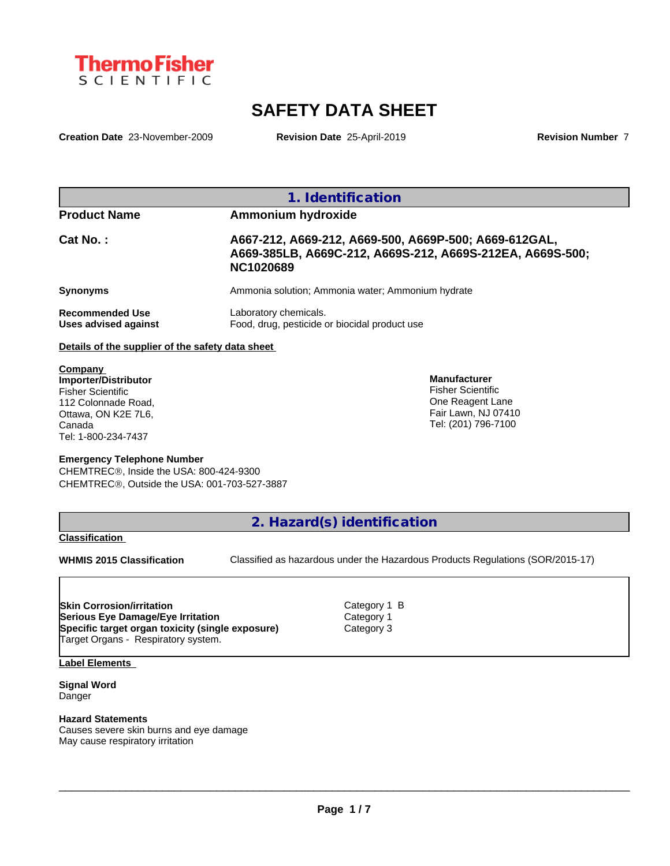

# **SAFETY DATA SHEET**

**Creation Date** 23-November-2009 **Revision Date** 25-April-2019 **Revision Number** 7

|                                                                                                           |                                                                                                                                        | 1. Identification                                                                          |  |
|-----------------------------------------------------------------------------------------------------------|----------------------------------------------------------------------------------------------------------------------------------------|--------------------------------------------------------------------------------------------|--|
| <b>Product Name</b>                                                                                       | Ammonium hydroxide                                                                                                                     |                                                                                            |  |
| Cat No.:                                                                                                  | A667-212, A669-212, A669-500, A669P-500; A669-612GAL,<br>A669-385LB, A669C-212, A669S-212, A669S-212EA, A669S-500;<br><b>NC1020689</b> |                                                                                            |  |
| <b>Synonyms</b>                                                                                           |                                                                                                                                        | Ammonia solution; Ammonia water; Ammonium hydrate                                          |  |
| <b>Recommended Use</b><br>Uses advised against                                                            | Laboratory chemicals.<br>Food, drug, pesticide or biocidal product use                                                                 |                                                                                            |  |
| Details of the supplier of the safety data sheet                                                          |                                                                                                                                        |                                                                                            |  |
| Company<br>Importer/Distributor<br><b>Fisher Scientific</b><br>112 Colonnade Road,<br>Ottawa, ON K2E 7L6, |                                                                                                                                        | <b>Manufacturer</b><br><b>Fisher Scientific</b><br>One Reagent Lane<br>Fair Lawn, NJ 07410 |  |

#### **Emergency Telephone Number**

CHEMTREC<sup>®</sup>, Inside the USA: 800-424-9300 CHEMTRECÒ, Outside the USA: 001-703-527-3887

**2. Hazard(s) identification**

**Classification**

Canada

Tel: 1-800-234-7437

**WHMIS 2015 Classification** Classified as hazardous under the Hazardous Products Regulations (SOR/2015-17)

 $\_$  ,  $\_$  ,  $\_$  ,  $\_$  ,  $\_$  ,  $\_$  ,  $\_$  ,  $\_$  ,  $\_$  ,  $\_$  ,  $\_$  ,  $\_$  ,  $\_$  ,  $\_$  ,  $\_$  ,  $\_$  ,  $\_$  ,  $\_$  ,  $\_$  ,  $\_$  ,  $\_$  ,  $\_$  ,  $\_$  ,  $\_$  ,  $\_$  ,  $\_$  ,  $\_$  ,  $\_$  ,  $\_$  ,  $\_$  ,  $\_$  ,  $\_$  ,  $\_$  ,  $\_$  ,  $\_$  ,  $\_$  ,  $\_$  ,

Tel: (201) 796-7100

**Skin Corrosion/irritation** Category 1 B **Serious Eye Damage/Eye Irritation** Category 1 **Specific target organ toxicity (single exposure)** Target Organs - Respiratory system.

**Label Elements**

**Signal Word** Danger

**Hazard Statements** Causes severe skin burns and eye damage May cause respiratory irritation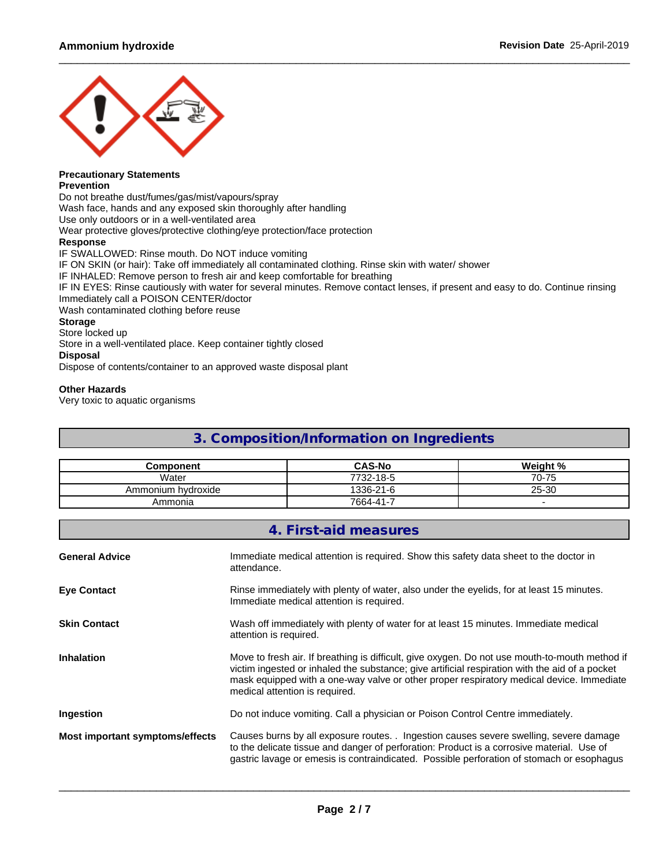

## **Precautionary Statements**

#### **Prevention**

Do not breathe dust/fumes/gas/mist/vapours/spray

Wash face, hands and any exposed skin thoroughly after handling

Use only outdoors or in a well-ventilated area

Wear protective gloves/protective clothing/eye protection/face protection

#### **Response**

IF SWALLOWED: Rinse mouth. Do NOT induce vomiting IF ON SKIN (or hair): Take off immediately all contaminated clothing. Rinse skin with water/ shower IF INHALED: Remove person to fresh air and keep comfortable for breathing IF IN EYES: Rinse cautiously with water for several minutes. Remove contact lenses, if present and easy to do. Continue rinsing Immediately call a POISON CENTER/doctor Wash contaminated clothing before reuse **Storage** Store locked up Store in a well-ventilated place. Keep container tightly closed **Disposal**

Dispose of contents/container to an approved waste disposal plant

#### **Other Hazards**

Very toxic to aquatic organisms

## **3. Composition/Information on Ingredients**

| Component               | $CAS-No$  | Weight %                 |
|-------------------------|-----------|--------------------------|
| Water                   | 7732-18-5 | $0 - 75$<br>$70^{\circ}$ |
| ı hvdroxide<br>Ammonium | 1336-21-6 | 25-30                    |
| Ammonia                 | 7664-41-7 |                          |

|                                 | 4. First-aid measures                                                                                                                                                                                                                                                                                                          |
|---------------------------------|--------------------------------------------------------------------------------------------------------------------------------------------------------------------------------------------------------------------------------------------------------------------------------------------------------------------------------|
| <b>General Advice</b>           | Immediate medical attention is required. Show this safety data sheet to the doctor in<br>attendance.                                                                                                                                                                                                                           |
| <b>Eye Contact</b>              | Rinse immediately with plenty of water, also under the eyelids, for at least 15 minutes.<br>Immediate medical attention is required.                                                                                                                                                                                           |
| <b>Skin Contact</b>             | Wash off immediately with plenty of water for at least 15 minutes. Immediate medical<br>attention is required.                                                                                                                                                                                                                 |
| <b>Inhalation</b>               | Move to fresh air. If breathing is difficult, give oxygen. Do not use mouth-to-mouth method if<br>victim ingested or inhaled the substance; give artificial respiration with the aid of a pocket<br>mask equipped with a one-way valve or other proper respiratory medical device. Immediate<br>medical attention is required. |
| Ingestion                       | Do not induce vomiting. Call a physician or Poison Control Centre immediately.                                                                                                                                                                                                                                                 |
| Most important symptoms/effects | Causes burns by all exposure routes. . Ingestion causes severe swelling, severe damage<br>to the delicate tissue and danger of perforation: Product is a corrosive material. Use of<br>gastric lavage or emesis is contraindicated. Possible perforation of stomach or esophagus                                               |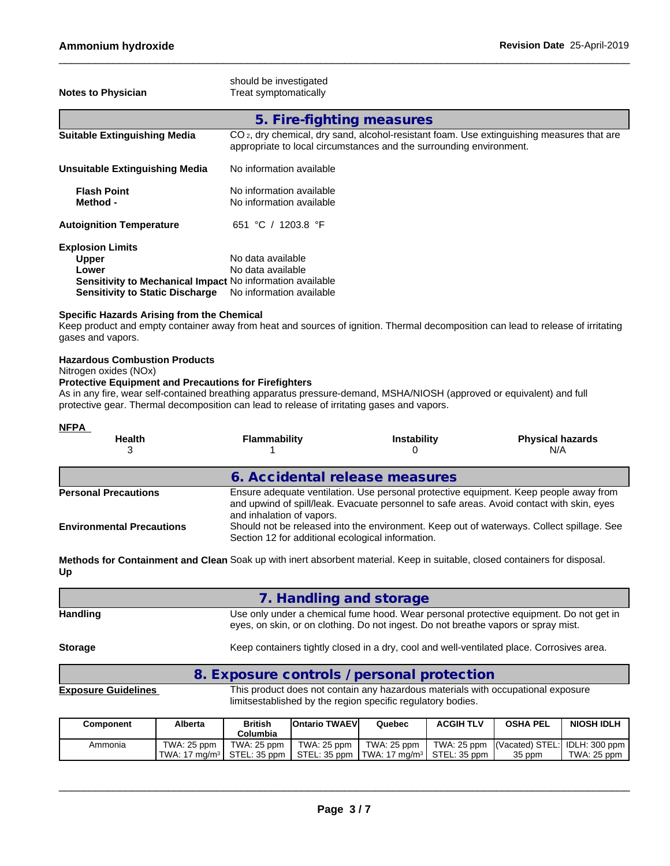#### **Specific Hazards Arising from the Chemical**

Keep product and empty container away from heat and sources of ignition. Thermal decomposition can lead to release of irritating gases and vapors.

#### **Hazardous Combustion Products**

Nitrogen oxides (NOx)

### **Protective Equipment and Precautions for Firefighters**

As in any fire, wear self-contained breathing apparatus pressure-demand, MSHA/NIOSH (approved or equivalent) and full protective gear. Thermal decomposition can lead to release of irritating gases and vapors.

| <b>NFPA</b><br><b>Health</b>     | <b>Flammability</b>                                                                                                                                                                                             | <b>Instability</b> | <b>Physical hazards</b><br>N/A                                                            |
|----------------------------------|-----------------------------------------------------------------------------------------------------------------------------------------------------------------------------------------------------------------|--------------------|-------------------------------------------------------------------------------------------|
|                                  | 6. Accidental release measures                                                                                                                                                                                  |                    |                                                                                           |
| <b>Personal Precautions</b>      | Ensure adequate ventilation. Use personal protective equipment. Keep people away from<br>and upwind of spill/leak. Evacuate personnel to safe areas. Avoid contact with skin, eyes<br>and inhalation of vapors. |                    |                                                                                           |
| <b>Environmental Precautions</b> | Section 12 for additional ecological information.                                                                                                                                                               |                    | Should not be released into the environment. Keep out of waterways. Collect spillage. See |

**Methods for Containment and Clean** Soak up with inert absorbent material. Keep in suitable, closed containers for disposal. **Up**

|                 | 7. Handling and storage                                                                                                                                                      |
|-----------------|------------------------------------------------------------------------------------------------------------------------------------------------------------------------------|
| <b>Handling</b> | Use only under a chemical fume hood. Wear personal protective equipment. Do not get in<br>eyes, on skin, or on clothing. Do not ingest. Do not breathe vapors or spray mist. |
| <b>Storage</b>  | Keep containers tightly closed in a dry, cool and well-ventilated place. Corrosives area.                                                                                    |

## **8. Exposure controls / personal protection**

**Exposure Guidelines** This product does not contain any hazardous materials with occupational exposure limitsestablished by the region specific regulatory bodies.

| <b>Component</b> | Alberta                          | British<br>Columbia | <b>IOntario TWAEVI</b> | Quebec                                                   | <b>ACGIH TLV</b> | <b>OSHA PEL</b>                           | <b>NIOSH IDLH</b> |
|------------------|----------------------------------|---------------------|------------------------|----------------------------------------------------------|------------------|-------------------------------------------|-------------------|
| Ammonia          | TWA: 25 ppm.                     | TWA: 25 ppm         | TWA: 25 ppm            | TWA: 25 ppm $\parallel$                                  |                  | TWA: 25 ppm (Vacated) STEL: IDLH: 300 ppm |                   |
|                  | TWA: 17 ma/m $^3$   STEL: 35 ppm |                     |                        | I STEL: 35 ppm ITWA: 17 ma/m <sup>3</sup> I STEL: 35 ppm |                  | 35 ppm                                    | TWA: $25$ ppm     |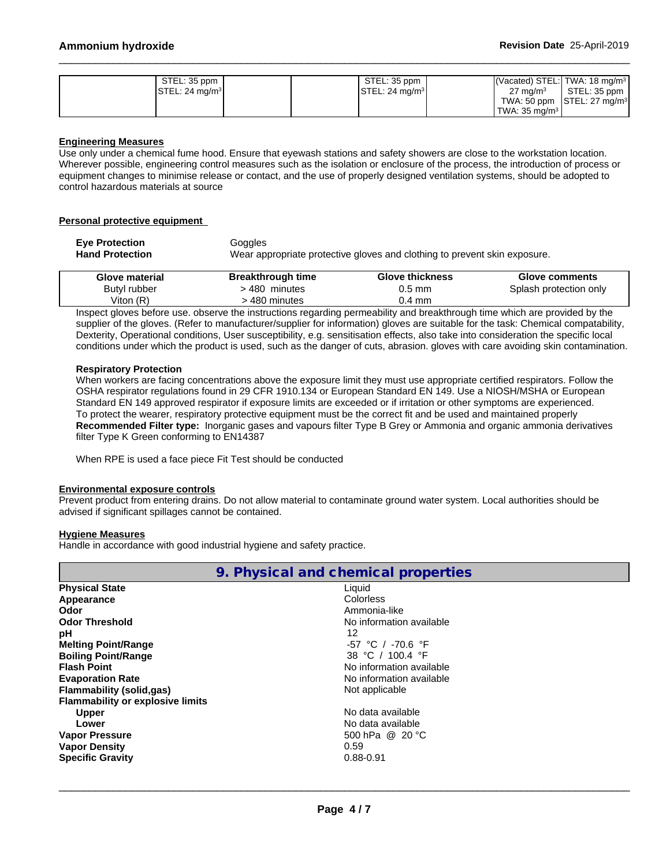| STEL: 35 ppm                       | STEL: 35 ppm                        | $\sqrt{\text{Vacated}}}$ STEL: TWA: 18 mg/m <sup>3</sup> |
|------------------------------------|-------------------------------------|----------------------------------------------------------|
| $\textsf{STEL}: 24 \text{ mg/m}^3$ | $\textsf{ISTEL}: 24 \text{ mg/m}^3$ | STEL: 35 ppm<br>$27 \text{ ma/m}^3$                      |
|                                    |                                     | TWA: 50 ppm $ STEL: 27 mg/m3 $                           |
|                                    |                                     | $\,$ TWA: 35 ma/m $^3$                                   |

#### **Engineering Measures**

Use only under a chemical fume hood. Ensure that eyewash stations and safety showers are close to the workstation location. Wherever possible, engineering control measures such as the isolation or enclosure of the process, the introduction of process or equipment changes to minimise release or contact, and the use of properly designed ventilation systems, should be adopted to control hazardous materials at source

#### **Personal protective equipment**

| <b>Eve Protection</b>  | Goggles                                                                   |
|------------------------|---------------------------------------------------------------------------|
| <b>Hand Protection</b> | Wear appropriate protective gloves and clothing to prevent skin exposure. |

| <b>Glove material</b> | <b>Breakthrough time</b>                                                                                                   | <b>Glove thickness</b> | <b>Glove comments</b>  |
|-----------------------|----------------------------------------------------------------------------------------------------------------------------|------------------------|------------------------|
| Butyl rubber          | 480<br>minutes                                                                                                             | 0.5 mm                 | Splash protection only |
| Viton (R)             | $.480$ minutes                                                                                                             | 0.4 mm                 |                        |
|                       | Ipercet aloves before use, absence the instructions regarding permeability and breakthrough time which are provided by the |                        |                        |

Inspect gloves before use. observe the instructions regarding permeability and breakthrough time which are provided by the supplier of the gloves. (Refer to manufacturer/supplier for information) gloves are suitable for the task: Chemical compatability, Dexterity, Operational conditions, User susceptibility, e.g. sensitisation effects, also take into consideration the specific local conditions under which the product is used, such as the danger of cuts, abrasion. gloves with care avoiding skin contamination.

#### **Respiratory Protection**

When workers are facing concentrations above the exposure limit they must use appropriate certified respirators. Follow the OSHA respirator regulations found in 29 CFR 1910.134 or European Standard EN 149. Use a NIOSH/MSHA or European Standard EN 149 approved respirator if exposure limits are exceeded or if irritation or other symptoms are experienced. To protect the wearer, respiratory protective equipment must be the correct fit and be used and maintained properly **Recommended Filter type:** Inorganic gases and vapours filter Type B Grey or Ammonia and organic ammonia derivatives filter Type K Green conforming to EN14387

When RPE is used a face piece Fit Test should be conducted

#### **Environmental exposure controls**

Prevent product from entering drains. Do not allow material to contaminate ground water system. Local authorities should be advised if significant spillages cannot be contained.

#### **Hygiene Measures**

Handle in accordance with good industrial hygiene and safety practice.

| 9. Physical and chemical properties     |                          |  |  |
|-----------------------------------------|--------------------------|--|--|
| <b>Physical State</b>                   | Liquid                   |  |  |
| Appearance                              | Colorless                |  |  |
| Odor                                    | Ammonia-like             |  |  |
| <b>Odor Threshold</b>                   | No information available |  |  |
| рH                                      | 12                       |  |  |
| <b>Melting Point/Range</b>              | -57 °C / -70.6 °F        |  |  |
| <b>Boiling Point/Range</b>              | 38 °C / 100.4 °F         |  |  |
| <b>Flash Point</b>                      | No information available |  |  |
| <b>Evaporation Rate</b>                 | No information available |  |  |
| <b>Flammability (solid,gas)</b>         | Not applicable           |  |  |
| <b>Flammability or explosive limits</b> |                          |  |  |
| <b>Upper</b>                            | No data available        |  |  |
| Lower                                   | No data available        |  |  |
| <b>Vapor Pressure</b>                   | 500 hPa @ 20 °C          |  |  |
| <b>Vapor Density</b>                    | 0.59                     |  |  |
| <b>Specific Gravity</b>                 | $0.88 - 0.91$            |  |  |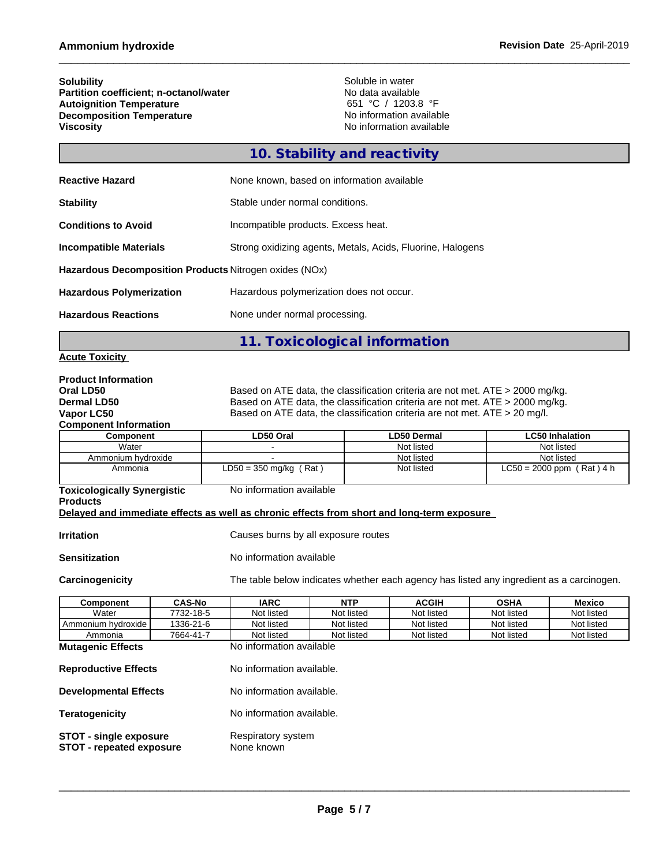| <b>Solubility</b>                      | Soluble in water         |
|----------------------------------------|--------------------------|
| Partition coefficient; n-octanol/water | No data available        |
| <b>Autoignition Temperature</b>        | 651 °C / 1203.8 °F       |
| <b>Decomposition Temperature</b>       | No information available |
| <b>Viscosity</b>                       | No information available |

# **10. Stability and reactivity**

| <b>Reactive Hazard</b>                                 | None known, based on information available                 |
|--------------------------------------------------------|------------------------------------------------------------|
| <b>Stability</b>                                       | Stable under normal conditions.                            |
| <b>Conditions to Avoid</b>                             | Incompatible products. Excess heat.                        |
| Incompatible Materials                                 | Strong oxidizing agents, Metals, Acids, Fluorine, Halogens |
| Hazardous Decomposition Products Nitrogen oxides (NOx) |                                                            |
| <b>Hazardous Polymerization</b>                        | Hazardous polymerization does not occur.                   |
| <b>Hazardous Reactions</b>                             | None under normal processing.                              |

**11. Toxicological information**

## **Acute Toxicity**

| <b>Product Information</b>                                                                 |               |                                  |                                     |                                                                                          |             |                             |               |
|--------------------------------------------------------------------------------------------|---------------|----------------------------------|-------------------------------------|------------------------------------------------------------------------------------------|-------------|-----------------------------|---------------|
| Oral LD50                                                                                  |               |                                  |                                     | Based on ATE data, the classification criteria are not met. ATE $>$ 2000 mg/kg.          |             |                             |               |
| <b>Dermal LD50</b>                                                                         |               |                                  |                                     | Based on ATE data, the classification criteria are not met. ATE > 2000 mg/kg.            |             |                             |               |
| Vapor LC50                                                                                 |               |                                  |                                     | Based on ATE data, the classification criteria are not met. $ATE > 20$ mg/l.             |             |                             |               |
| <b>Component Information</b>                                                               |               |                                  |                                     |                                                                                          |             |                             |               |
| Component                                                                                  |               | LD50 Oral                        |                                     | <b>LD50 Dermal</b>                                                                       |             | <b>LC50 Inhalation</b>      |               |
| Water                                                                                      |               |                                  |                                     | Not listed                                                                               |             | Not listed                  |               |
| Ammonium hydroxide                                                                         |               |                                  |                                     | Not listed                                                                               |             | Not listed                  |               |
| Ammonia                                                                                    |               | $LD50 = 350$ mg/kg (Rat)         |                                     | Not listed                                                                               |             | $LC50 = 2000$ ppm (Rat) 4 h |               |
| <b>Toxicologically Synergistic</b><br><b>Products</b>                                      |               | No information available         |                                     |                                                                                          |             |                             |               |
| Delayed and immediate effects as well as chronic effects from short and long-term exposure |               |                                  |                                     |                                                                                          |             |                             |               |
|                                                                                            |               |                                  |                                     |                                                                                          |             |                             |               |
| Irritation                                                                                 |               |                                  | Causes burns by all exposure routes |                                                                                          |             |                             |               |
| Sensitization                                                                              |               | No information available         |                                     |                                                                                          |             |                             |               |
| Carcinogenicity                                                                            |               |                                  |                                     | The table below indicates whether each agency has listed any ingredient as a carcinogen. |             |                             |               |
| Component                                                                                  | <b>CAS-No</b> | <b>IARC</b>                      | <b>NTP</b>                          | <b>ACGIH</b>                                                                             | <b>OSHA</b> |                             | <b>Mexico</b> |
| Water                                                                                      | 7732-18-5     | Not listed                       | Not listed                          | Not listed                                                                               | Not listed  |                             | Not listed    |
| Ammonium hydroxide                                                                         | 1336-21-6     | Not listed                       | Not listed                          | Not listed                                                                               | Not listed  |                             | Not listed    |
| Ammonia                                                                                    | 7664-41-7     | Not listed                       | Not listed                          | Not listed                                                                               | Not listed  |                             | Not listed    |
| <b>Mutagenic Effects</b>                                                                   |               | No information available         |                                     |                                                                                          |             |                             |               |
| <b>Reproductive Effects</b>                                                                |               | No information available.        |                                     |                                                                                          |             |                             |               |
| <b>Developmental Effects</b>                                                               |               | No information available.        |                                     |                                                                                          |             |                             |               |
| Teratogenicity                                                                             |               | No information available.        |                                     |                                                                                          |             |                             |               |
| <b>STOT - single exposure</b><br><b>STOT - repeated exposure</b>                           |               | Respiratory system<br>None known |                                     |                                                                                          |             |                             |               |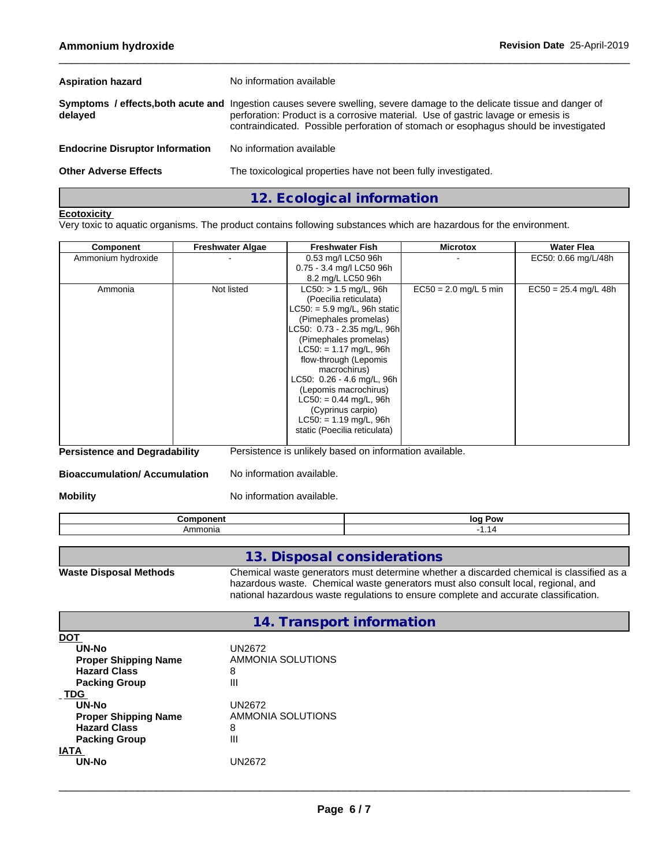| <b>Aspiration hazard</b>               | No information available                                                                                                                                                                                                                                                                            |  |
|----------------------------------------|-----------------------------------------------------------------------------------------------------------------------------------------------------------------------------------------------------------------------------------------------------------------------------------------------------|--|
| delayed                                | Symptoms / effects, both acute and Ingestion causes severe swelling, severe damage to the delicate tissue and danger of<br>perforation: Product is a corrosive material. Use of gastric lavage or emesis is<br>contraindicated. Possible perforation of stomach or esophagus should be investigated |  |
| <b>Endocrine Disruptor Information</b> | No information available                                                                                                                                                                                                                                                                            |  |
| <b>Other Adverse Effects</b>           | The toxicological properties have not been fully investigated.                                                                                                                                                                                                                                      |  |
|                                        | 12. Ecological information                                                                                                                                                                                                                                                                          |  |

#### **Ecotoxicity**

Very toxic to aquatic organisms. The product contains following substances which are hazardous for the environment.

| Component          | <b>Freshwater Algae</b> | <b>Freshwater Fish</b>                                                                                                                                                                                                                                                                                                                                                                                       | <b>Microtox</b>         | <b>Water Flea</b>      |
|--------------------|-------------------------|--------------------------------------------------------------------------------------------------------------------------------------------------------------------------------------------------------------------------------------------------------------------------------------------------------------------------------------------------------------------------------------------------------------|-------------------------|------------------------|
| Ammonium hydroxide |                         | 0.53 mg/l LC50 96h<br>0.75 - 3.4 mg/l LC50 96h<br>8.2 mg/L LC50 96h                                                                                                                                                                                                                                                                                                                                          |                         | EC50: 0.66 mg/L/48h    |
| Ammonia            | Not listed              | $LC50:$ > 1.5 mg/L, 96h<br>(Poecilia reticulata)<br>$LC50: = 5.9$ mg/L, 96h static<br>(Pimephales promelas)<br>LC50: 0.73 - 2.35 mg/L, 96h<br>(Pimephales promelas)<br>$LC50: = 1.17$ mg/L, 96h<br>flow-through (Lepomis<br>macrochirus)<br>LC50: 0.26 - 4.6 mg/L, 96h<br>(Lepomis macrochirus)<br>$LC50: = 0.44$ mg/L, 96h<br>(Cyprinus carpio)<br>$LC50: = 1.19$ mg/L, 96h<br>static (Poecilia reticulata) | $EC50 = 2.0$ mg/L 5 min | $EC50 = 25.4$ mg/L 48h |

**Persistence and Degradability** Persistence is unlikely based on information available.

**Bioaccumulation/ Accumulation** No information available.

**Mobility Mobility** No information available.

| - --- - --<br>---<br>--<br>. | . Pow<br>lor |
|------------------------------|--------------|
| -------<br>эпк<br>AH<br>     | . .          |

## **13. Disposal considerations**

**Waste Disposal Methods** Chemical waste generators must determine whether a discarded chemical is classified as a hazardous waste. Chemical waste generators must also consult local, regional, and national hazardous waste regulations to ensure complete and accurate classification.

| 14. Transport information |
|---------------------------|
|---------------------------|

| DO1                         |                   |
|-----------------------------|-------------------|
| <b>UN-No</b>                | UN2672            |
| <b>Proper Shipping Name</b> | AMMONIA SOLUTIONS |
| <b>Hazard Class</b>         | 8                 |
| <b>Packing Group</b>        | Ш                 |
| <b>TDG</b>                  |                   |
| UN-No                       | UN2672            |
| <b>Proper Shipping Name</b> | AMMONIA SOLUTIONS |
| <b>Hazard Class</b>         | 8                 |
| <b>Packing Group</b>        | Ш                 |
| <b>IATA</b>                 |                   |
| <b>UN-No</b>                | UN2672            |
|                             |                   |